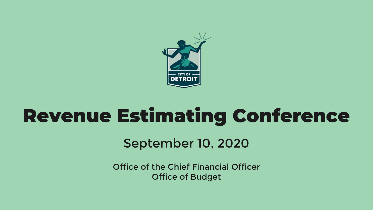

# Revenue Estimating Conference

### September 10, 2020

Office of the Chief Financial Officer Office of Budget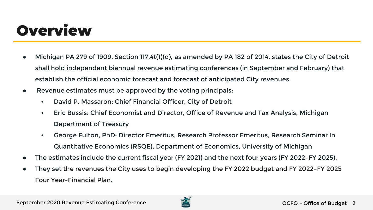### **Overview**

- Michigan PA 279 of 1909, Section 117.4t(1)(d), as amended by PA 182 of 2014, states the City of Detroit shall hold independent biannual revenue estimating conferences (in September and February) that establish the official economic forecast and forecast of anticipated City revenues.
- Revenue estimates must be approved by the voting principals:
	- David P. Massaron: Chief Financial Officer, City of Detroit
	- Eric Bussis: Chief Economist and Director, Office of Revenue and Tax Analysis, Michigan Department of Treasury
	- George Fulton, PhD: Director Emeritus, Research Professor Emeritus, Research Seminar In Quantitative Economics (RSQE), Department of Economics, University of Michigan
- The estimates include the current fiscal year (FY 2021) and the next four years (FY 2022-FY 2025).
- They set the revenues the City uses to begin developing the FY 2022 budget and FY 2022–FY 2025 Four Year-Financial Plan.

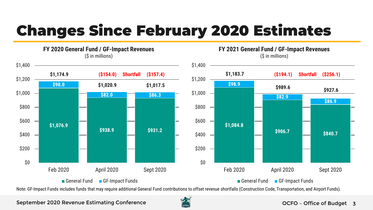# Changes Since February 2020 Estimates



#### **FY 2020 General Fund / GF-Impact Revenues** (\$ in millions)

**FY 2021 General Fund / GF-Impact Revenues** (\$ in millions)



General Fund GF-Impact Funds

Note: GF-Impact Funds includes funds that may require additional General Fund contributions to offset revenue shortfalls (Construction Code, Transportation, and Airport Funds).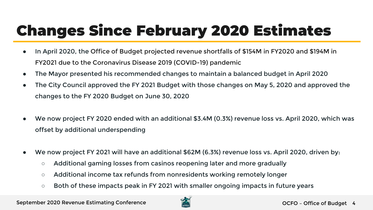# Changes Since February 2020 Estimates

- In April 2020, the Office of Budget projected revenue shortfalls of \$154M in FY2020 and \$194M in FY2021 due to the Coronavirus Disease 2019 (COVID-19) pandemic
- The Mayor presented his recommended changes to maintain a balanced budget in April 2020
- The City Council approved the FY 2021 Budget with those changes on May 5, 2020 and approved the changes to the FY 2020 Budget on June 30, 2020
- We now project FY 2020 ended with an additional \$3.4M (0.3%) revenue loss vs. April 2020, which was offset by additional underspending
- We now project FY 2021 will have an additional \$62M (6.3%) revenue loss vs. April 2020, driven by:
	- Additional gaming losses from casinos reopening later and more gradually
	- Additional income tax refunds from nonresidents working remotely longer
	- Both of these impacts peak in FY 2021 with smaller ongoing impacts in future years

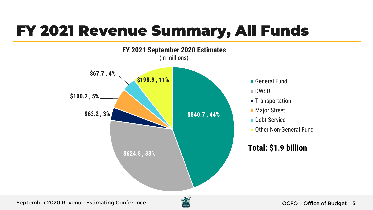### FY 2021 Revenue Summary, All Funds



- General Fund
- DWSD
- **Transportation**
- **Major Street**
- Debt Service
- **De Other Non-General Fund**

#### **Total: \$1.9 billion**

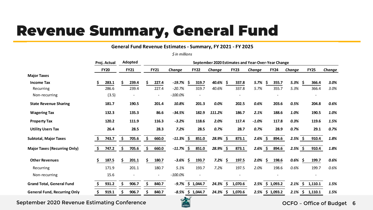### Revenue Summary, General Fund

#### **General Fund Revenue Estimates - Summary, FY 2021 - FY 2025**

*\$ in millions*

|                                     | Proj. Actual<br><b>FY20</b> |       | Adopted<br><b>FY21</b> |       | September 2020 Estimates and Year-Over-Year Change |                          |              |  |             |            |     |             |            |     |                 |            |    |             |        |
|-------------------------------------|-----------------------------|-------|------------------------|-------|----------------------------------------------------|--------------------------|--------------|--|-------------|------------|-----|-------------|------------|-----|-----------------|------------|----|-------------|--------|
|                                     |                             |       |                        |       | <b>FY21</b>                                        |                          | Change       |  | <b>FY22</b> | Change     |     | <b>FY23</b> | Change     |     | <b>FY24</b>     | Change     |    | <b>FY25</b> | Change |
| <b>Major Taxes</b>                  |                             |       |                        |       |                                                    |                          |              |  |             |            |     |             |            |     |                 |            |    |             |        |
| <b>Income Tax</b>                   |                             | 283.1 | Ś                      | 239.4 |                                                    | 227.4                    | -19.7%       |  | 319.7       | 40.6% \$   |     | 337.8       | 5.7%       | \$. | 355.7           | 5.3%       | Ŝ  | 366.4       | 3.0%   |
| Recurring                           |                             | 286.6 |                        | 239.4 |                                                    | 227.4                    | $-20.7%$     |  | 319.7       | 40.6%      |     | 337.8       | 5.7%       |     | 355.7           | 5.3%       |    | 366.4       | 3.0%   |
| Non-recurring                       |                             | (3.5) |                        |       |                                                    | $\overline{a}$           | $-100.0%$    |  |             |            |     |             |            |     |                 |            |    |             |        |
| <b>State Revenue Sharing</b>        |                             | 181.7 |                        | 190.5 |                                                    | 201.4                    | 10.8%        |  | 201.3       | $0.0\%$    |     | 202.5       | 0.6%       |     | 203.6           | 0.5%       |    | 204.8       | 0.6%   |
| <b>Wagering Tax</b>                 |                             | 132.3 |                        | 135.3 |                                                    | 86.6                     | $-34.5%$     |  | 182.9       | 111.2%     |     | 186.7       | 2.1%       |     | 188.6           | 1.0%       |    | 190.5       | 1.0%   |
| <b>Property Tax</b>                 |                             | 120.2 |                        | 111.9 |                                                    | 116.3                    | $-3.2%$      |  | 118.6       | 2.0%       |     | 117.4       | $-1.0%$    |     | 117.8           | 0.3%       |    | 119.6       | 1.5%   |
| <b>Utility Users Tax</b>            |                             | 26.4  |                        | 28.5  |                                                    | 28.3                     | 7.2%         |  | 28.5        | 0.7%       |     | 28.7        | $0.7\%$    |     | 28.9            | 0.7%       |    | 29.1        | 0.7%   |
| <b>Subtotal, Major Taxes</b>        | \$                          | 743.7 | S.                     | 705.6 | Ś.                                                 | 660.0                    | $-11.3\%$ \$ |  | 851.0       | 28.9% \$   |     | 873.1       | $2.6\%$ \$ |     | 894.6           | $2.5\%$ \$ |    | 910.4       | 1.8%   |
| <b>Major Taxes (Recurring Only)</b> | \$                          | 747.2 | Ś                      | 705.6 |                                                    | 660.0                    | $-11.7%$ \$  |  | 851.0       | 28.9%\$    |     | 873.1       | $2.6\%$ \$ |     | 894.6           | $2.5%$ \$  |    | 910.4       | 1.8%   |
| <b>Other Revenues</b>               |                             | 187.5 |                        | 201.1 |                                                    | 180.7                    | $-3.6\%$ \$  |  | 193.7       | $7.2\%$ \$ |     | 197.5       | 2.0%       | Ŝ.  | 198.6           | 0.6%       | S  | 199.7       | 0.6%   |
| Recurring                           |                             | 171.9 |                        | 201.1 |                                                    | 180.7                    | 5.1%         |  | 193.7       | 7.2%       |     | 197.5       | 2.0%       |     | 198.6           | 0.6%       |    | 199.7       | 0.6%   |
| Non-recurring                       |                             | 15.6  |                        |       |                                                    | $\overline{\phantom{a}}$ | $-100.0%$    |  |             |            |     |             |            |     |                 |            |    |             |        |
| <b>Grand Total, General Fund</b>    | Ś                           | 931.2 |                        | 906.7 |                                                    | 840.7                    | $-9.7\%$     |  | \$1,044.7   | 24.3%      | -S  | 1,070.6     |            |     | 2.5% \$ 1,093.2 | 2.1%       | S. | 1,110.1     | 1.5%   |
| <b>General Fund, Recurring Only</b> |                             | 919.1 |                        | 906.7 |                                                    | 840.7                    | $-8.5%$      |  | \$1,044.7   | 24.3%      | \$. | 1,070.6     | 2.5%       |     | \$1,093.2       | 2.1%       | Ŝ. | 1,110.1     | 1.5%   |

September 2020 Revenue Estimating Conference

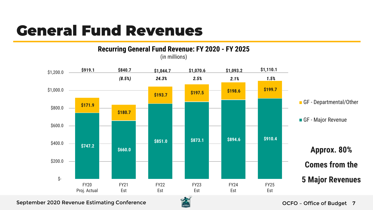### General Fund Revenues



September 2020 Revenue Estimating Conference

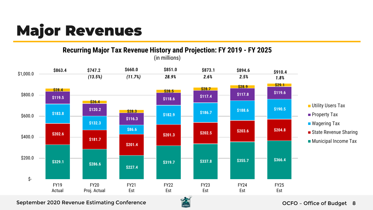# Major Revenues

**Recurring Major Tax Revenue History and Projection: FY 2019 - FY 2025**



(in millions)

#### September 2020 Revenue Estimating Conference

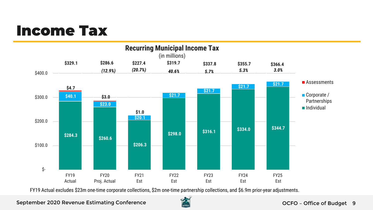### Income Tax



FY19 Actual excludes \$23m one-time corporate collections, \$2m one-time partnership collections, and \$6.9m prior-year adjustments.

#### September 2020 Revenue Estimating Conference

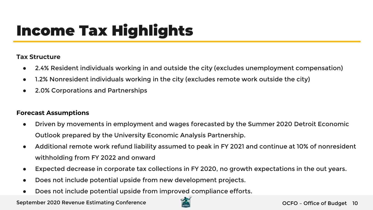# Income Tax Highlights

#### **Tax Structure**

- 2.4% Resident individuals working in and outside the city (excludes unemployment compensation)
- 1.2% Nonresident individuals working in the city (excludes remote work outside the city)
- 2.0% Corporations and Partnerships

#### **Forecast Assumptions**

- Driven by movements in employment and wages forecasted by the Summer 2020 Detroit Economic Outlook prepared by the University Economic Analysis Partnership.
- Additional remote work refund liability assumed to peak in FY 2021 and continue at 10% of nonresident withholding from FY 2022 and onward
- Expected decrease in corporate tax collections in FY 2020, no growth expectations in the out years.
- Does not include potential upside from new development projects.
- Does not include potential upside from improved compliance efforts.

September 2020 Revenue Estimating Conference

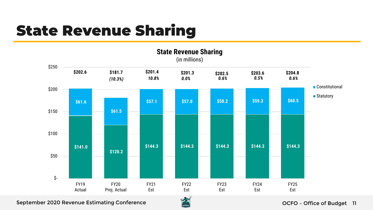### State Revenue Sharing



September 2020 Revenue Estimating Conference

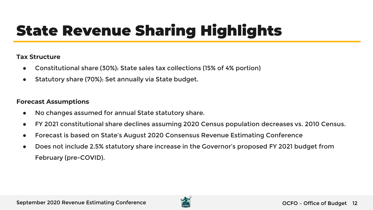# State Revenue Sharing Highlights

#### **Tax Structure**

- Constitutional share (30%): State sales tax collections (15% of 4% portion)
- Statutory share (70%): Set annually via State budget.

- No changes assumed for annual State statutory share.
- FY 2021 constitutional share declines assuming 2020 Census population decreases vs. 2010 Census.
- Forecast is based on State's August 2020 Consensus Revenue Estimating Conference
- Does not include 2.5% statutory share increase in the Governor's proposed FY 2021 budget from February (pre-COVID).

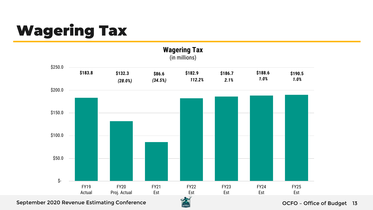# Wagering Tax



September 2020 Revenue Estimating Conference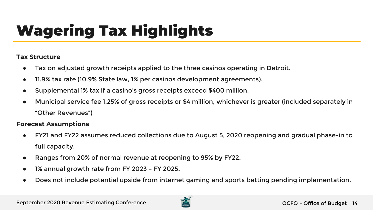# Wagering Tax Highlights

#### **Tax Structure**

- Tax on adjusted growth receipts applied to the three casinos operating in Detroit.
- 11.9% tax rate (10.9% State law, 1% per casinos development agreements).
- Supplemental 1% tax if a casino's gross receipts exceed \$400 million.
- Municipal service fee 1.25% of gross receipts or \$4 million, whichever is greater (included separately in "Other Revenues")

- FY21 and FY22 assumes reduced collections due to August 5, 2020 reopening and gradual phase-in to full capacity.
- Ranges from 20% of normal revenue at reopening to 95% by FY22.
- 1% annual growth rate from FY 2023 FY 2025.
- Does not include potential upside from internet gaming and sports betting pending implementation.

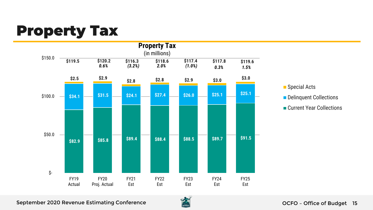### Property Tax





Delinquent Collections

Current Year Collections

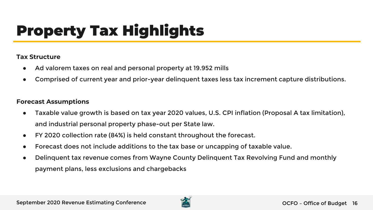# Property Tax Highlights

#### **Tax Structure**

- Ad valorem taxes on real and personal property at 19.952 mills
- Comprised of current year and prior-year delinquent taxes less tax increment capture distributions.

- Taxable value growth is based on tax year 2020 values, U.S. CPI inflation (Proposal A tax limitation), and industrial personal property phase-out per State law.
- FY 2020 collection rate (84%) is held constant throughout the forecast.
- Forecast does not include additions to the tax base or uncapping of taxable value.
- Delinquent tax revenue comes from Wayne County Delinquent Tax Revolving Fund and monthly payment plans, less exclusions and chargebacks

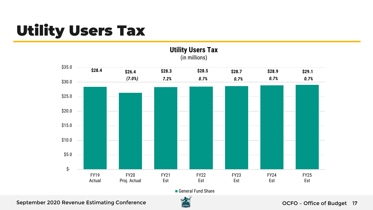# Utility Users Tax



**Utility Users Tax** (in millions)

General Fund Share



#### September 2020 Revenue Estimating Conference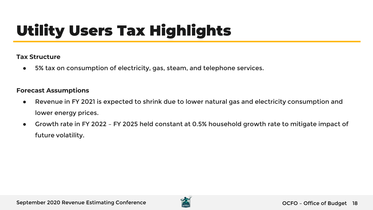# Utility Users Tax Highlights

#### **Tax Structure**

● 5% tax on consumption of electricity, gas, steam, and telephone services.

- Revenue in FY 2021 is expected to shrink due to lower natural gas and electricity consumption and lower energy prices.
- Growth rate in FY 2022 FY 2025 held constant at 0.5% household growth rate to mitigate impact of future volatility.

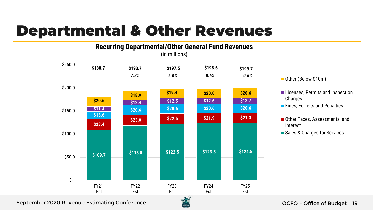### Departmental & Other Revenues

#### **\$109.7 \$118.8 \$122.5 \$123.5 \$124.5 \$23.4 \$23.0 \$22.5 \$21.9 \$21.3 \$15.6 \$11.4** \$20.6 \$20.6 \$20.6 \$20.6 \$20.6 \$20.6 **\$12.4 \$20.6 \$12.5 \$12.6 \$12.7 \$18.9 \$19.4 \$20.0 \$20.6 \$180.7 \$193.7 \$197.5 \$198.6 \$199.7**  \$- \$50.0 \$100.0 \$150.0 \$200.0 \$250.0 FY21 Est FY22 Est FY23 Est FY24 Est FY25 Est **Recurring Departmental/Other General Fund Revenues** (in millions) *7.2% 2.0% 0.6% 0.6%*



- **Licenses, Permits and Inspection** Charges
- **Fines, Forfeits and Penalties**
- Other Taxes, Assessments, and Interest
- Sales & Charges for Services

#### September 2020 Revenue Estimating Conference

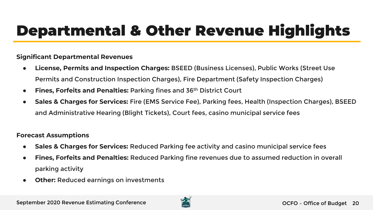## Departmental & Other Revenue Highlights

#### **Significant Departmental Revenues**

- **License, Permits and Inspection Charges:** BSEED (Business Licenses), Public Works (Street Use Permits and Construction Inspection Charges), Fire Department (Safety Inspection Charges)
- **Fines, Forfeits and Penalties:** Parking fines and 36th District Court
- **Sales & Charges for Services:** Fire (EMS Service Fee), Parking fees, Health (Inspection Charges), BSEED and Administrative Hearing (Blight Tickets), Court fees, casino municipal service fees

- **Sales & Charges for Services:** Reduced Parking fee activity and casino municipal service fees
- **Fines, Forfeits and Penalties: Reduced Parking fine revenues due to assumed reduction in overall** parking activity
- **Other:** Reduced earnings on investments

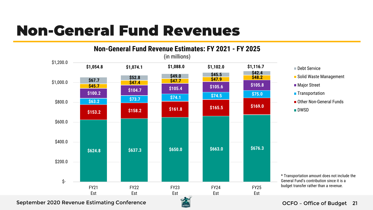### Non-General Fund Revenues



■ Solid Waste Management ■ Major Street **Transportation** Other Non-General Funds

\* Transportation amount does not include the General Fund's contribution since it is a budget transfer rather than a revenue.

#### September 2020 Revenue Estimating Conference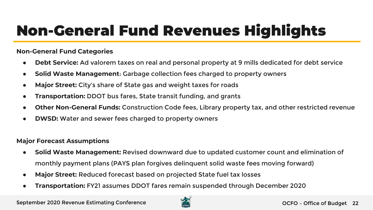# Non-General Fund Revenues Highlights

#### **Non-General Fund Categories**

- **Debt Service:** Ad valorem taxes on real and personal property at 9 mills dedicated for debt service
- **Solid Waste Management**: Garbage collection fees charged to property owners
- **Major Street:** City's share of State gas and weight taxes for roads
- **Transportation: DDOT** bus fares, State transit funding, and grants
- **Other Non-General Funds: Construction Code fees, Library property tax, and other restricted revenue**
- **DWSD:** Water and sewer fees charged to property owners

#### **Major Forecast Assumptions**

- **Solid Waste Management:** Revised downward due to updated customer count and elimination of monthly payment plans (PAYS plan forgives delinquent solid waste fees moving forward)
- **Major Street:** Reduced forecast based on projected State fuel tax losses
- **Transportation:** FY21 assumes DDOT fares remain suspended through December 2020

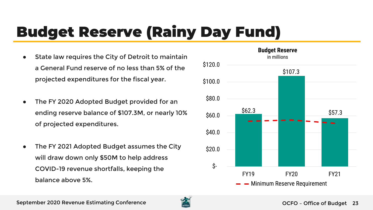# Budget Reserve (Rainy Day Fund)

- State law requires the City of Detroit to maintain a General Fund reserve of no less than 5% of the projected expenditures for the fiscal year.
- The FY 2020 Adopted Budget provided for an ending reserve balance of \$107.3M, or nearly 10% of projected expenditures.
- The FY 2021 Adopted Budget assumes the City will draw down only \$50M to help address COVID-19 revenue shortfalls, keeping the balance above 5%.